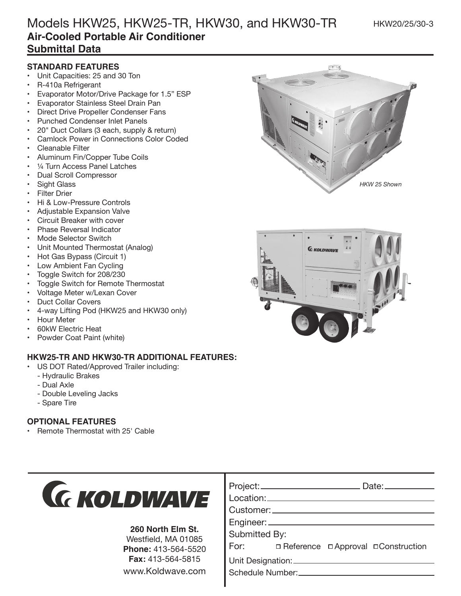#### HKW20/25/30-3

# Models HKW25, HKW25-TR, HKW30, and HKW30-TR **Air-Cooled Portable Air Conditioner Submittal Data**

### **STANDARD FEATURES**

- Unit Capacities: 25 and 30 Ton
- R-410a Refrigerant
- Evaporator Motor/Drive Package for 1.5" ESP
- Evaporator Stainless Steel Drain Pan
- Direct Drive Propeller Condenser Fans
- Punched Condenser Inlet Panels
- 20" Duct Collars (3 each, supply & return)
- Camlock Power in Connections Color Coded
- Cleanable Filter
- Aluminum Fin/Copper Tube Coils
- 1/4 Turn Access Panel Latches
- Dual Scroll Compressor
- Sight Glass
- **Filter Drier**
- Hi & Low-Pressure Controls
- Adjustable Expansion Valve
- Circuit Breaker with cover
- Phase Reversal Indicator
- Mode Selector Switch
- Unit Mounted Thermostat (Analog)
- Hot Gas Bypass (Circuit 1)
- Low Ambient Fan Cycling
- Toggle Switch for 208/230
- Toggle Switch for Remote Thermostat
- Voltage Meter w/Lexan Cover
- Duct Collar Covers
- 4-way Lifting Pod (HKW25 and HKW30 only)
- Hour Meter
- 60kW Electric Heat
- Powder Coat Paint (white)

#### **HKW25-TR AND HKW30-TR ADDITIONAL FEATURES:**

- US DOT Rated/Approved Trailer including:
	- Hydraulic Brakes
	- Dual Axle
	- Double Leveling Jacks
	- Spare Tire

#### **OPTIONAL FEATURES**

• Remote Thermostat with 25' Cable



#### **260 North Elm St.**

Westfield, MA 01085 **Phone:** 413-564-5520 **Fax:** 413-564-5815 www.Koldwave.com

| Submitted By: |  |  |                                               |  |  |
|---------------|--|--|-----------------------------------------------|--|--|
|               |  |  | For: <b>Deference DApproval DConstruction</b> |  |  |
|               |  |  |                                               |  |  |
|               |  |  |                                               |  |  |

Project: Date: